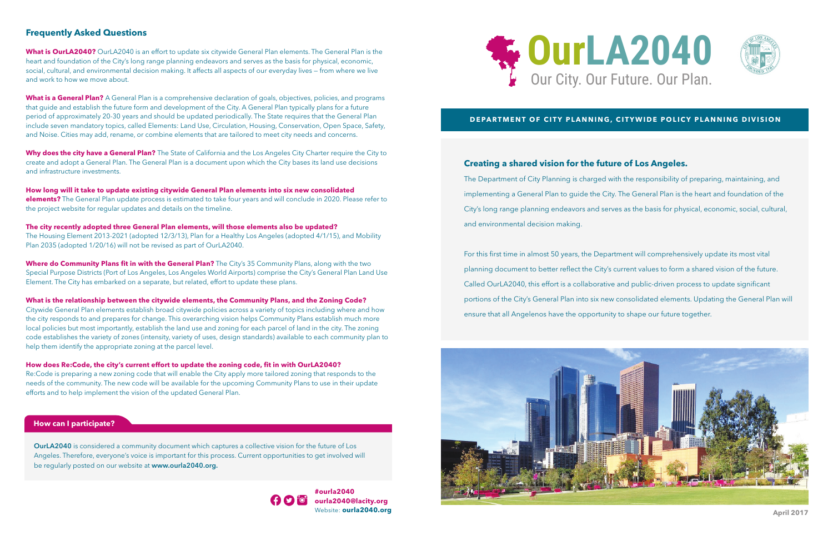#### **Frequently Asked Questions**

**What is OurLA2040?** OurLA2040 is an effort to update six citywide General Plan elements. The General Plan is the heart and foundation of the City's long range planning endeavors and serves as the basis for physical, economic, social, cultural, and environmental decision making. It affects all aspects of our everyday lives — from where we live and work to how we move about.

**What is a General Plan?** A General Plan is a comprehensive declaration of goals, objectives, policies, and programs that guide and establish the future form and development of the City. A General Plan typically plans for a future period of approximately 20-30 years and should be updated periodically. The State requires that the General Plan include seven mandatory topics, called Elements: Land Use, Circulation, Housing, Conservation, Open Space, Safety, and Noise. Cities may add, rename, or combine elements that are tailored to meet city needs and concerns.

**Why does the city have a General Plan?** The State of California and the Los Angeles City Charter require the City to create and adopt a General Plan. The General Plan is a document upon which the City bases its land use decisions and infrastructure investments.

**How long will it take to update existing citywide General Plan elements into six new consolidated elements?** The General Plan update process is estimated to take four years and will conclude in 2020. Please refer to the project website for regular updates and details on the timeline.

**The city recently adopted three General Plan elements, will those elements also be updated?** The Housing Element 2013-2021 (adopted 12/3/13), Plan for a Healthy Los Angeles (adopted 4/1/15), and Mobility Plan 2035 (adopted 1/20/16) will not be revised as part of OurLA2040.

**Where do Community Plans fit in with the General Plan?** The City's 35 Community Plans, along with the two Special Purpose Districts (Port of Los Angeles, Los Angeles World Airports) comprise the City's General Plan Land Use Element. The City has embarked on a separate, but related, effort to update these plans.

The Department of City Planning is charged with the responsibility of preparing, maintaining, and implementing a General Plan to guide the City. The General Plan is the heart and foundation of the City's long range planning endeavors and serves as the basis for physical, economic, social, cultural, and environmental decision making.

**What is the relationship between the citywide elements, the Community Plans, and the Zoning Code?**

Citywide General Plan elements establish broad citywide policies across a variety of topics including where and how the city responds to and prepares for change. This overarching vision helps Community Plans establish much more local policies but most importantly, establish the land use and zoning for each parcel of land in the city. The zoning code establishes the variety of zones (intensity, variety of uses, design standards) available to each community plan to help them identify the appropriate zoning at the parcel level.

#### **How does Re:Code, the city's current effort to update the zoning code, fit in with OurLA2040?**

Re:Code is preparing a new zoning code that will enable the City apply more tailored zoning that responds to the needs of the community. The new code will be available for the upcoming Community Plans to use in their update efforts and to help implement the vision of the updated General Plan.



#### **DEPARTMENT OF CITY PLANNING, CITYWIDE POLICY PLANNING DIVISION**

## **Number**<br>**Number** Creating a shared vision for the future of Los Angeles.

**OurLA2040** is considered a community document which captures a collective vision for the future of Los Angeles. Therefore, everyone's voice is important for this process. Current opportunities to get involved will be regularly posted on our website at **www.ourla2040.org.**



#### **How can I participate?**

**#ourla2040 ourla2040@lacity.org** Website: **ourla2040.org** For this first time in almost 50 years, the Department will comprehensively update its most vital planning document to better reflect the City's current values to form a shared vision of the future. Called OurLA2040, this effort is a collaborative and public-driven process to update significant portions of the City's General Plan into six new consolidated elements. Updating the General Plan will ensure that all Angelenos have the opportunity to shape our future together.





**April 2017**